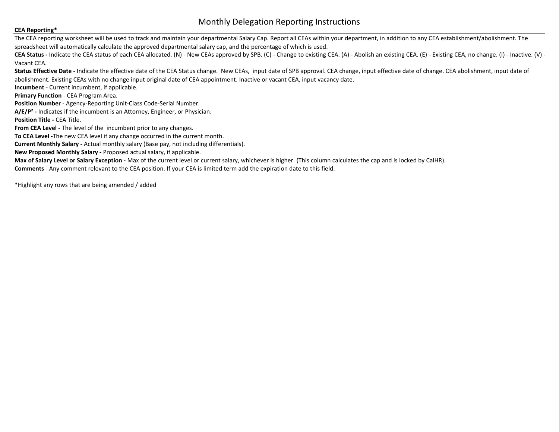## Monthly Delegation Reporting Instructions

## **CEA Reporting\***

The CEA reporting worksheet will be used to track and maintain your departmental Salary Cap. Report all CEAs within your department, in addition to any CEA establishment/abolishment. The spreadsheet will automatically calculate the approved departmental salary cap, and the percentage of which is used.

**CEA Status -** Indicate the CEA status of each CEA allocated. (N) - New CEAs approved by SPB. (C) - Change to existing CEA. (A) - Abolish an existing CEA. (E) - Existing CEA, no change. (I) - Inactive. (V) - Vacant CEA.

Status Effective Date - Indicate the effective date of the CEA Status change. New CEAs, input date of SPB approval. CEA change, input effective date of change. CEA abolishment, input date of

abolishment. Existing CEAs with no change input original date of CEA appointment. Inactive or vacant CEA, input vacancy date.

**Incumbent** - Current incumbent, if applicable.

**Primary Function** - CEA Program Area.

**Position Number** - Agency-Reporting Unit-Class Code-Serial Number.

**A/E/P² -** Indicates if the incumbent is an Attorney, Engineer, or Physician.

**Position Title - CEA Title.** 

**From CEA Level - The level of the incumbent prior to any changes.** 

**To CEA Level -**The new CEA level if any change occurred in the current month.

**Current Monthly Salary -** Actual monthly salary (Base pay, not including differentials).

**New Proposed Monthly Salary -** Proposed actual salary, if applicable.

**Max of Salary Level or Salary Exception -** Max of the current level or current salary, whichever is higher. (This column calculates the cap and is locked by CalHR).

**Comments** - Any comment relevant to the CEA position. If your CEA is limited term add the expiration date to this field.

\*Highlight any rows that are being amended / added